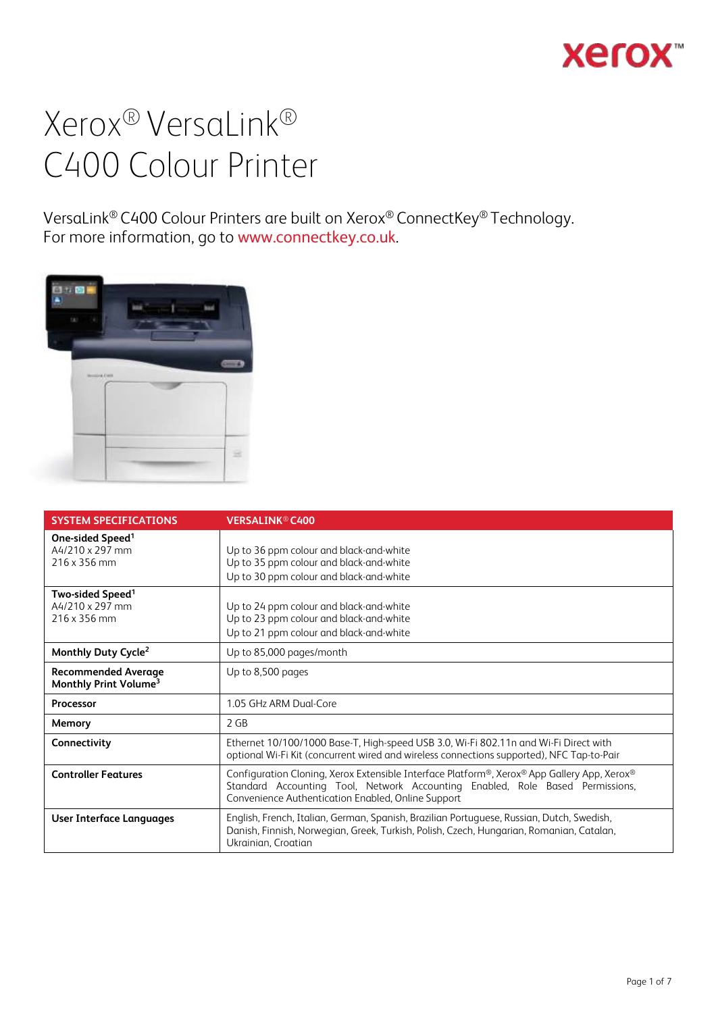## **Xerox**

## Xerox® VersaLink® C400 Colour Printer

VersaLink® C400 Colour Printers are built on Xerox® ConnectKey® Technology. For more information, go to [www.connectkey.co.uk](http://www.connectkey.co.uk/).



| <b>SYSTEM SPECIFICATIONS</b>                                    | <b>VERSALINK<sup>®</sup> C400</b>                                                                                                                                                                                                  |
|-----------------------------------------------------------------|------------------------------------------------------------------------------------------------------------------------------------------------------------------------------------------------------------------------------------|
| One-sided Speed <sup>1</sup><br>A4/210 x 297 mm<br>216 x 356 mm | Up to 36 ppm colour and black-and-white<br>Up to 35 ppm colour and black-and-white<br>Up to 30 ppm colour and black-and-white                                                                                                      |
| Two-sided Speed <sup>1</sup><br>A4/210 x 297 mm<br>216 x 356 mm | Up to 24 ppm colour and black-and-white<br>Up to 23 ppm colour and black-and-white<br>Up to 21 ppm colour and black-and-white                                                                                                      |
| Monthly Duty Cycle <sup>2</sup>                                 | Up to 85,000 pages/month                                                                                                                                                                                                           |
| <b>Recommended Average</b><br>Monthly Print Volume <sup>3</sup> | Up to 8,500 pages                                                                                                                                                                                                                  |
| Processor                                                       | 1.05 GHz ARM Dual-Core                                                                                                                                                                                                             |
| Memory                                                          | $2$ GB                                                                                                                                                                                                                             |
| Connectivity                                                    | Ethernet 10/100/1000 Base-T, High-speed USB 3.0, Wi-Fi 802.11n and Wi-Fi Direct with<br>optional Wi-Fi Kit (concurrent wired and wireless connections supported), NFC Tap-to-Pair                                                  |
| <b>Controller Features</b>                                      | Configuration Cloning, Xerox Extensible Interface Platform®, Xerox® App Gallery App, Xerox®<br>Standard Accounting Tool, Network Accounting Enabled, Role Based Permissions,<br>Convenience Authentication Enabled, Online Support |
| User Interface Languages                                        | English, French, Italian, German, Spanish, Brazilian Portuguese, Russian, Dutch, Swedish,<br>Danish, Finnish, Norwegian, Greek, Turkish, Polish, Czech, Hungarian, Romanian, Catalan,<br>Ukrainian, Croatian                       |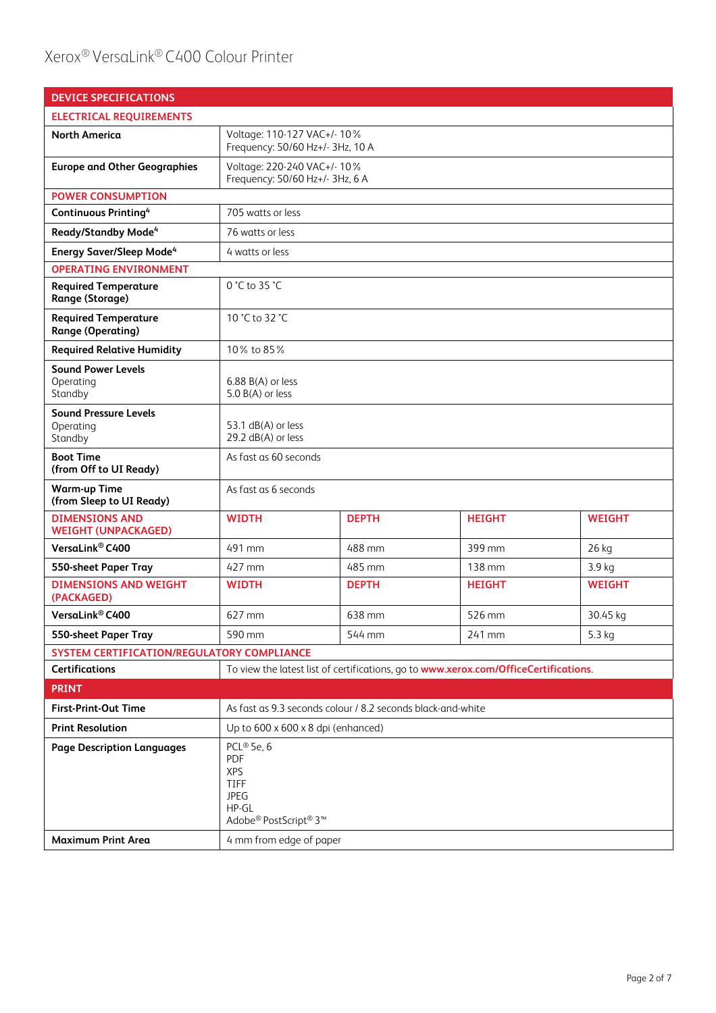## Xerox® VersaLink® C400 Colour Printer

| <b>DEVICE SPECIFICATIONS</b>                            |                                                                                                      |              |                                                                                      |               |
|---------------------------------------------------------|------------------------------------------------------------------------------------------------------|--------------|--------------------------------------------------------------------------------------|---------------|
| <b>ELECTRICAL REQUIREMENTS</b>                          |                                                                                                      |              |                                                                                      |               |
| <b>North America</b>                                    | Voltage: 110-127 VAC+/- 10%<br>Frequency: 50/60 Hz+/- 3Hz, 10 A                                      |              |                                                                                      |               |
| <b>Europe and Other Geographies</b>                     | Voltage: 220-240 VAC+/- 10%<br>Frequency: 50/60 Hz+/- 3Hz, 6 A                                       |              |                                                                                      |               |
| <b>POWER CONSUMPTION</b>                                |                                                                                                      |              |                                                                                      |               |
| <b>Continuous Printing4</b>                             | 705 watts or less                                                                                    |              |                                                                                      |               |
| Ready/Standby Mode <sup>4</sup>                         | 76 watts or less                                                                                     |              |                                                                                      |               |
| <b>Energy Saver/Sleep Mode<sup>4</sup></b>              | 4 watts or less                                                                                      |              |                                                                                      |               |
| <b>OPERATING ENVIRONMENT</b>                            |                                                                                                      |              |                                                                                      |               |
| <b>Required Temperature</b><br>Range (Storage)          | 0 °C to 35 °C                                                                                        |              |                                                                                      |               |
| <b>Required Temperature</b><br><b>Range (Operating)</b> | 10 °C to 32 °C                                                                                       |              |                                                                                      |               |
| <b>Required Relative Humidity</b>                       | 10% to 85%                                                                                           |              |                                                                                      |               |
| <b>Sound Power Levels</b><br>Operating<br>Standby       | $6.88 B(A)$ or less<br>5.0 B(A) or less                                                              |              |                                                                                      |               |
| <b>Sound Pressure Levels</b><br>Operating<br>Standby    | 53.1 dB(A) or less<br>29.2 dB(A) or less                                                             |              |                                                                                      |               |
| <b>Boot Time</b><br>(from Off to UI Ready)              | As fast as 60 seconds                                                                                |              |                                                                                      |               |
| <b>Warm-up Time</b><br>(from Sleep to UI Ready)         | As fast as 6 seconds                                                                                 |              |                                                                                      |               |
| <b>DIMENSIONS AND</b><br><b>WEIGHT (UNPACKAGED)</b>     | <b>WIDTH</b>                                                                                         | <b>DEPTH</b> | <b>HEIGHT</b>                                                                        | <b>WEIGHT</b> |
| VersaLink® C400                                         | 491 mm                                                                                               | 488 mm       | 399 mm                                                                               | 26 kg         |
| 550-sheet Paper Tray                                    | 427 mm                                                                                               | 485 mm       | $138 \text{ mm}$                                                                     | 3.9 kg        |
| <b>DIMENSIONS AND WEIGHT</b><br>(PACKAGED)              | <b>WIDTH</b>                                                                                         | <b>DEPTH</b> | <b>HEIGHT</b>                                                                        | <b>WEIGHT</b> |
| VersaLink® C400                                         | 627 mm                                                                                               | 638 mm       | 526 mm                                                                               | 30.45 kg      |
| <b>550-sheet Paper Tray</b>                             | 590 mm                                                                                               | 544 mm       | 241 mm                                                                               | 5.3 kg        |
| SYSTEM CERTIFICATION/REGULATORY COMPLIANCE              |                                                                                                      |              |                                                                                      |               |
| Certifications                                          |                                                                                                      |              | To view the latest list of certifications, go to www.xerox.com/OfficeCertifications. |               |
| <b>PRINT</b>                                            |                                                                                                      |              |                                                                                      |               |
| <b>First-Print-Out Time</b>                             | As fast as 9.3 seconds colour / 8.2 seconds black-and-white                                          |              |                                                                                      |               |
| <b>Print Resolution</b>                                 | Up to $600 \times 600 \times 8$ dpi (enhanced)                                                       |              |                                                                                      |               |
| <b>Page Description Languages</b>                       | PCL® 5e, 6<br>PDF<br><b>XPS</b><br>TIFF<br><b>JPEG</b><br>HP-GL<br>Adobe® PostScript® 3 <sup>™</sup> |              |                                                                                      |               |
| <b>Maximum Print Area</b>                               | 4 mm from edge of paper                                                                              |              |                                                                                      |               |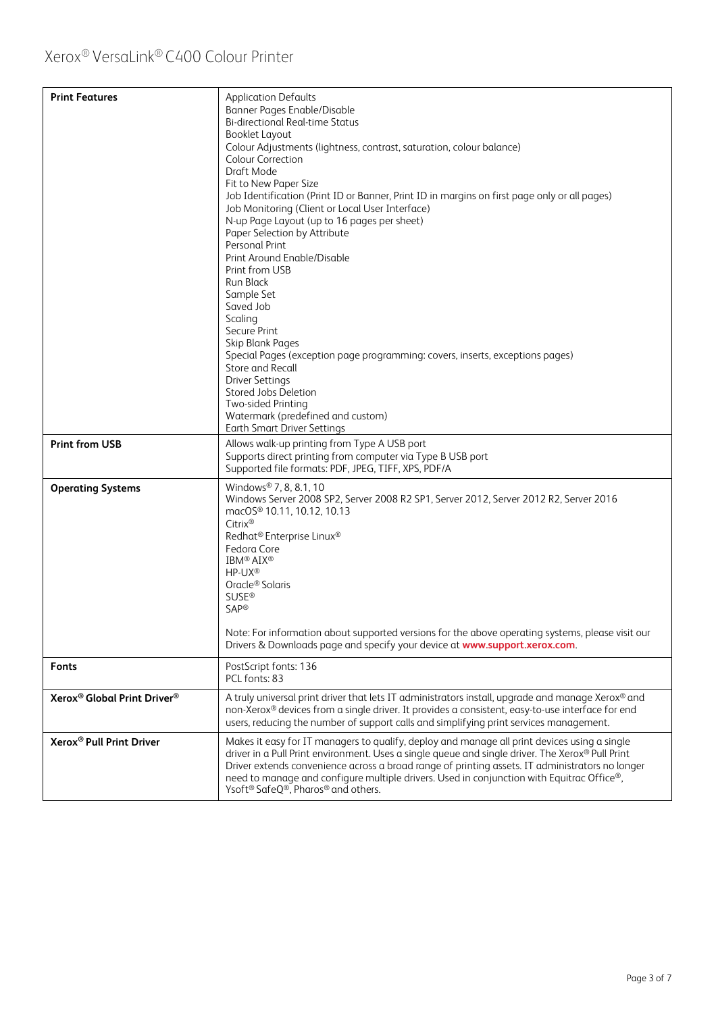| <b>Print Features</b><br><b>Print from USB</b>      | <b>Application Defaults</b><br>Banner Pages Enable/Disable<br><b>Bi-directional Real-time Status</b><br><b>Booklet Layout</b><br>Colour Adjustments (lightness, contrast, saturation, colour balance)<br><b>Colour Correction</b><br>Draft Mode<br>Fit to New Paper Size<br>Job Identification (Print ID or Banner, Print ID in margins on first page only or all pages)<br>Job Monitoring (Client or Local User Interface)<br>N-up Page Layout (up to 16 pages per sheet)<br>Paper Selection by Attribute<br>Personal Print<br>Print Around Enable/Disable<br>Print from USB<br>Run Black<br>Sample Set<br>Saved Job<br>Scaling<br>Secure Print<br>Skip Blank Pages<br>Special Pages (exception page programming: covers, inserts, exceptions pages)<br>Store and Recall<br><b>Driver Settings</b><br>Stored Jobs Deletion<br>Two-sided Printing<br>Watermark (predefined and custom)<br><b>Earth Smart Driver Settings</b><br>Allows walk-up printing from Type A USB port |  |
|-----------------------------------------------------|------------------------------------------------------------------------------------------------------------------------------------------------------------------------------------------------------------------------------------------------------------------------------------------------------------------------------------------------------------------------------------------------------------------------------------------------------------------------------------------------------------------------------------------------------------------------------------------------------------------------------------------------------------------------------------------------------------------------------------------------------------------------------------------------------------------------------------------------------------------------------------------------------------------------------------------------------------------------------|--|
|                                                     | Supports direct printing from computer via Type B USB port                                                                                                                                                                                                                                                                                                                                                                                                                                                                                                                                                                                                                                                                                                                                                                                                                                                                                                                   |  |
|                                                     | Supported file formats: PDF, JPEG, TIFF, XPS, PDF/A                                                                                                                                                                                                                                                                                                                                                                                                                                                                                                                                                                                                                                                                                                                                                                                                                                                                                                                          |  |
| <b>Operating Systems</b>                            | Windows® 7, 8, 8.1, 10<br>Windows Server 2008 SP2, Server 2008 R2 SP1, Server 2012, Server 2012 R2, Server 2016<br>macOS® 10.11, 10.12, 10.13<br>Citrix®<br>Redhat <sup>®</sup> Enterprise Linux <sup>®</sup><br>Fedora Core<br><b>IBM® AIX®</b><br>HP-UX <sup>®</sup><br>Oracle <sup>®</sup> Solaris<br><b>SUSE®</b><br>SAP®<br>Note: For information about supported versions for the above operating systems, please visit our                                                                                                                                                                                                                                                                                                                                                                                                                                                                                                                                            |  |
|                                                     | Drivers & Downloads page and specify your device at www.support.xerox.com.                                                                                                                                                                                                                                                                                                                                                                                                                                                                                                                                                                                                                                                                                                                                                                                                                                                                                                   |  |
| <b>Fonts</b>                                        | PostScript fonts: 136<br>PCL fonts: 83                                                                                                                                                                                                                                                                                                                                                                                                                                                                                                                                                                                                                                                                                                                                                                                                                                                                                                                                       |  |
| Xerox <sup>®</sup> Global Print Driver <sup>®</sup> | A truly universal print driver that lets IT administrators install, upgrade and manage Xerox® and<br>non-Xerox® devices from a single driver. It provides a consistent, easy-to-use interface for end<br>users, reducing the number of support calls and simplifying print services management.                                                                                                                                                                                                                                                                                                                                                                                                                                                                                                                                                                                                                                                                              |  |
| Xerox <sup>®</sup> Pull Print Driver                | Makes it easy for IT managers to qualify, deploy and manage all print devices using a single<br>driver in a Pull Print environment. Uses a single queue and single driver. The Xerox® Pull Print<br>Driver extends convenience across a broad range of printing assets. IT administrators no longer<br>need to manage and configure multiple drivers. Used in conjunction with Equitrac Office®,<br>Ysoft <sup>®</sup> SafeQ®, Pharos® and others.                                                                                                                                                                                                                                                                                                                                                                                                                                                                                                                           |  |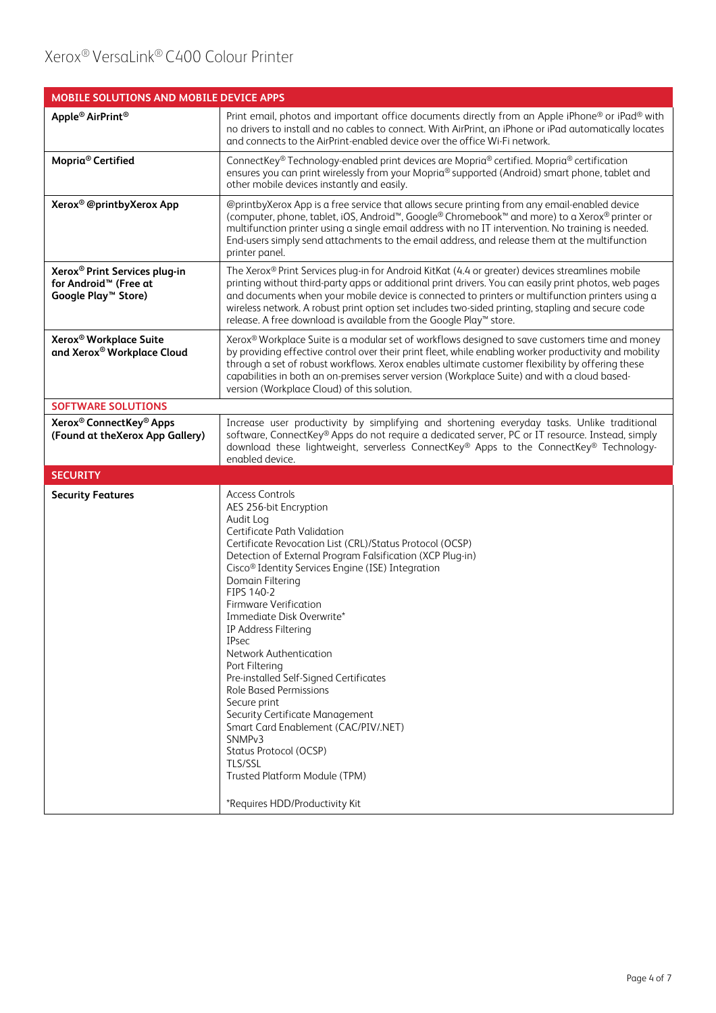| MOBILE SOLUTIONS AND MOBILE DEVICE APPS                                                                           |                                                                                                                                                                                                                                                                                                                                                                                                                                                                                                                                                                                                                                                                                                                                                                        |  |
|-------------------------------------------------------------------------------------------------------------------|------------------------------------------------------------------------------------------------------------------------------------------------------------------------------------------------------------------------------------------------------------------------------------------------------------------------------------------------------------------------------------------------------------------------------------------------------------------------------------------------------------------------------------------------------------------------------------------------------------------------------------------------------------------------------------------------------------------------------------------------------------------------|--|
| Apple <sup>®</sup> AirPrint <sup>®</sup>                                                                          | Print email, photos and important office documents directly from an Apple iPhone® or iPad® with<br>no drivers to install and no cables to connect. With AirPrint, an iPhone or iPad automatically locates<br>and connects to the AirPrint-enabled device over the office Wi-Fi network.                                                                                                                                                                                                                                                                                                                                                                                                                                                                                |  |
| Mopria <sup>®</sup> Certified                                                                                     | ConnectKey® Technology-enabled print devices are Mopria® certified. Mopria® certification<br>ensures you can print wirelessly from your Mopria® supported (Android) smart phone, tablet and<br>other mobile devices instantly and easily.                                                                                                                                                                                                                                                                                                                                                                                                                                                                                                                              |  |
| Xerox <sup>®</sup> @printbyXerox App                                                                              | @printbyXerox App is a free service that allows secure printing from any email-enabled device<br>(computer, phone, tablet, iOS, Android <sup>™</sup> , Google® Chromebook™ and more) to a Xerox® printer or<br>multifunction printer using a single email address with no IT intervention. No training is needed.<br>End-users simply send attachments to the email address, and release them at the multifunction<br>printer panel.                                                                                                                                                                                                                                                                                                                                   |  |
| Xerox <sup>®</sup> Print Services plug-in<br>for Android <sup>™</sup> (Free at<br>Google Play <sup>™</sup> Store) | The Xerox® Print Services plug-in for Android KitKat (4.4 or greater) devices streamlines mobile<br>printing without third-party apps or additional print drivers. You can easily print photos, web pages<br>and documents when your mobile device is connected to printers or multifunction printers using a<br>wireless network. A robust print option set includes two-sided printing, stapling and secure code<br>release. A free download is available from the Google Play™ store.                                                                                                                                                                                                                                                                               |  |
| Xerox <sup>®</sup> Workplace Suite<br>and Xerox® Workplace Cloud                                                  | Xerox® Workplace Suite is a modular set of workflows designed to save customers time and money<br>by providing effective control over their print fleet, while enabling worker productivity and mobility<br>through a set of robust workflows. Xerox enables ultimate customer flexibility by offering these<br>capabilities in both an on-premises server version (Workplace Suite) and with a cloud based-<br>version (Workplace Cloud) of this solution.                                                                                                                                                                                                                                                                                                            |  |
| <b>SOFTWARE SOLUTIONS</b>                                                                                         |                                                                                                                                                                                                                                                                                                                                                                                                                                                                                                                                                                                                                                                                                                                                                                        |  |
| Xerox <sup>®</sup> ConnectKey <sup>®</sup> Apps<br>(Found at the Xerox App Gallery)                               | Increase user productivity by simplifying and shortening everyday tasks. Unlike traditional<br>software, ConnectKey® Apps do not require a dedicated server, PC or IT resource. Instead, simply<br>download these lightweight, serverless ConnectKey® Apps to the ConnectKey® Technology-<br>enabled device.                                                                                                                                                                                                                                                                                                                                                                                                                                                           |  |
| <b>SECURITY</b>                                                                                                   |                                                                                                                                                                                                                                                                                                                                                                                                                                                                                                                                                                                                                                                                                                                                                                        |  |
| <b>Security Features</b>                                                                                          | <b>Access Controls</b><br>AES 256-bit Encryption<br>Audit Log<br>Certificate Path Validation<br>Certificate Revocation List (CRL)/Status Protocol (OCSP)<br>Detection of External Program Falsification (XCP Plug-in)<br>Cisco <sup>®</sup> Identity Services Engine (ISE) Integration<br>Domain Filtering<br>FIPS 140-2<br><b>Firmware Verification</b><br>Immediate Disk Overwrite*<br>IP Address Filtering<br>IPsec<br>Network Authentication<br>Port Filtering<br>Pre-installed Self-Signed Certificates<br><b>Role Based Permissions</b><br>Secure print<br>Security Certificate Management<br>Smart Card Enablement (CAC/PIV/.NET)<br>SNMP <sub>v3</sub><br>Status Protocol (OCSP)<br>TLS/SSL<br>Trusted Platform Module (TPM)<br>*Requires HDD/Productivity Kit |  |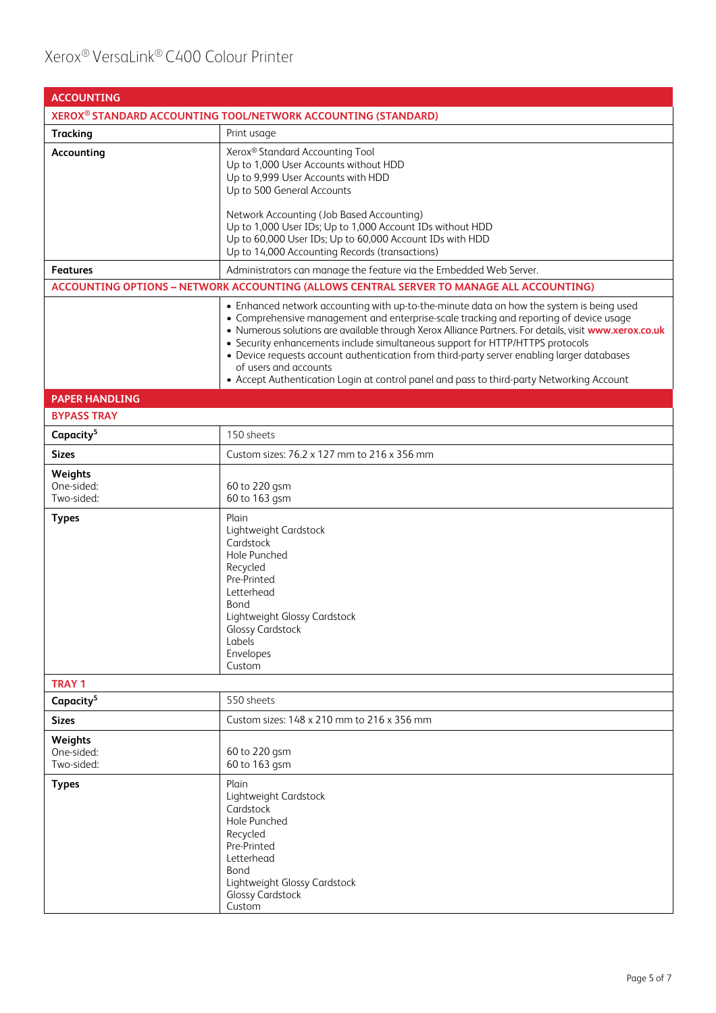| <b>ACCOUNTING</b>                                                         |                                                                                                                                                                                                                                                                                                                                                                                                                                                                                                                                                                                                   |  |
|---------------------------------------------------------------------------|---------------------------------------------------------------------------------------------------------------------------------------------------------------------------------------------------------------------------------------------------------------------------------------------------------------------------------------------------------------------------------------------------------------------------------------------------------------------------------------------------------------------------------------------------------------------------------------------------|--|
| XEROX <sup>®</sup> STANDARD ACCOUNTING TOOL/NETWORK ACCOUNTING (STANDARD) |                                                                                                                                                                                                                                                                                                                                                                                                                                                                                                                                                                                                   |  |
| <b>Tracking</b>                                                           | Print usage                                                                                                                                                                                                                                                                                                                                                                                                                                                                                                                                                                                       |  |
| Accounting                                                                | Xerox® Standard Accounting Tool<br>Up to 1,000 User Accounts without HDD<br>Up to 9,999 User Accounts with HDD<br>Up to 500 General Accounts<br>Network Accounting (Job Based Accounting)<br>Up to 1,000 User IDs; Up to 1,000 Account IDs without HDD                                                                                                                                                                                                                                                                                                                                            |  |
|                                                                           | Up to 60,000 User IDs; Up to 60,000 Account IDs with HDD<br>Up to 14,000 Accounting Records (transactions)                                                                                                                                                                                                                                                                                                                                                                                                                                                                                        |  |
| Features                                                                  | Administrators can manage the feature via the Embedded Web Server.                                                                                                                                                                                                                                                                                                                                                                                                                                                                                                                                |  |
|                                                                           | ACCOUNTING OPTIONS - NETWORK ACCOUNTING (ALLOWS CENTRAL SERVER TO MANAGE ALL ACCOUNTING)                                                                                                                                                                                                                                                                                                                                                                                                                                                                                                          |  |
|                                                                           | • Enhanced network accounting with up-to-the-minute data on how the system is being used<br>• Comprehensive management and enterprise-scale tracking and reporting of device usage<br>. Numerous solutions are available through Xerox Alliance Partners. For details, visit www.xerox.co.uk<br>• Security enhancements include simultaneous support for HTTP/HTTPS protocols<br>• Device requests account authentication from third-party server enabling larger databases<br>of users and accounts<br>• Accept Authentication Login at control panel and pass to third-party Networking Account |  |
| <b>PAPER HANDLING</b>                                                     |                                                                                                                                                                                                                                                                                                                                                                                                                                                                                                                                                                                                   |  |
| <b>BYPASS TRAY</b>                                                        |                                                                                                                                                                                                                                                                                                                                                                                                                                                                                                                                                                                                   |  |
| Capacity <sup>5</sup>                                                     | 150 sheets                                                                                                                                                                                                                                                                                                                                                                                                                                                                                                                                                                                        |  |
| <b>Sizes</b>                                                              | Custom sizes: 76.2 x 127 mm to 216 x 356 mm                                                                                                                                                                                                                                                                                                                                                                                                                                                                                                                                                       |  |
| Weights<br>One-sided:<br>Two-sided:                                       | 60 to 220 gsm<br>60 to 163 gsm                                                                                                                                                                                                                                                                                                                                                                                                                                                                                                                                                                    |  |
| <b>Types</b>                                                              | Plain<br>Lightweight Cardstock<br>Cardstock<br>Hole Punched<br>Recycled<br>Pre-Printed<br>Letterhead<br>Bond<br>Lightweight Glossy Cardstock<br><b>Glossy Cardstock</b><br>Labels<br>Envelopes<br>Custom                                                                                                                                                                                                                                                                                                                                                                                          |  |
| <b>TRAY 1</b>                                                             |                                                                                                                                                                                                                                                                                                                                                                                                                                                                                                                                                                                                   |  |
| Capacity <sup>5</sup>                                                     | 550 sheets                                                                                                                                                                                                                                                                                                                                                                                                                                                                                                                                                                                        |  |
| <b>Sizes</b>                                                              | Custom sizes: 148 x 210 mm to 216 x 356 mm                                                                                                                                                                                                                                                                                                                                                                                                                                                                                                                                                        |  |
| Weights<br>One-sided:<br>Two-sided:                                       | 60 to 220 gsm<br>60 to 163 gsm                                                                                                                                                                                                                                                                                                                                                                                                                                                                                                                                                                    |  |
| <b>Types</b>                                                              | Plain<br>Lightweight Cardstock<br>Cardstock<br>Hole Punched<br>Recycled<br>Pre-Printed<br>Letterhead<br>Bond<br>Lightweight Glossy Cardstock<br><b>Glossy Cardstock</b><br>Custom                                                                                                                                                                                                                                                                                                                                                                                                                 |  |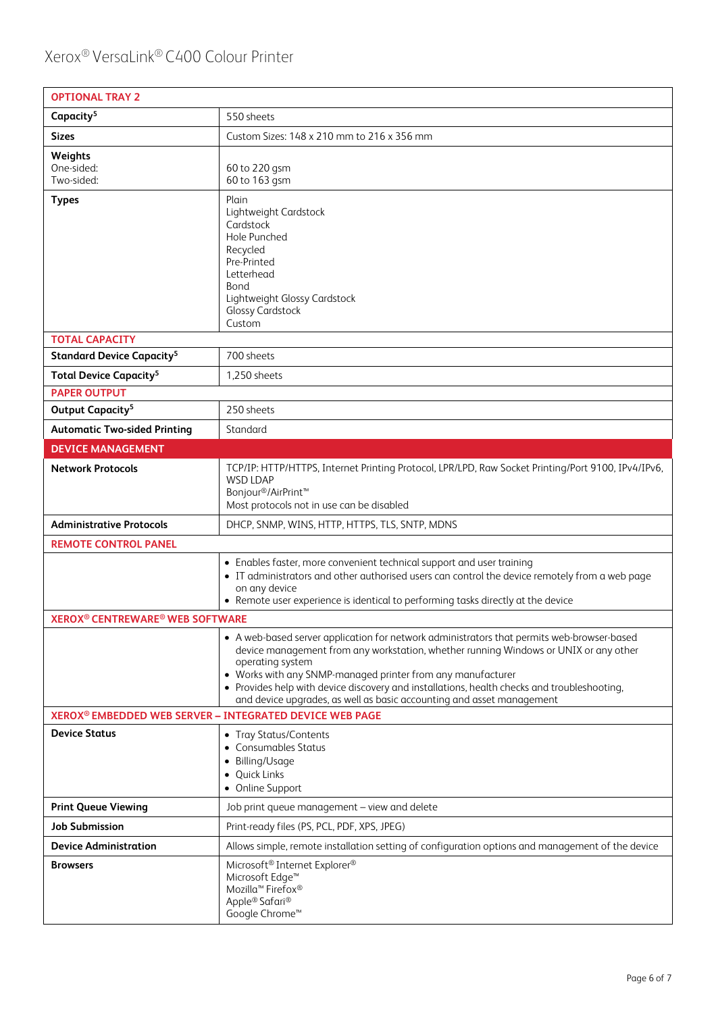| <b>OPTIONAL TRAY 2</b>                                       |                                                                                                                                                                                                                                                                                                                                                                                                                                               |
|--------------------------------------------------------------|-----------------------------------------------------------------------------------------------------------------------------------------------------------------------------------------------------------------------------------------------------------------------------------------------------------------------------------------------------------------------------------------------------------------------------------------------|
| Capacity <sup>5</sup>                                        | 550 sheets                                                                                                                                                                                                                                                                                                                                                                                                                                    |
| <b>Sizes</b>                                                 | Custom Sizes: 148 x 210 mm to 216 x 356 mm                                                                                                                                                                                                                                                                                                                                                                                                    |
| Weights<br>One-sided:<br>Two-sided:                          | 60 to 220 gsm<br>60 to 163 gsm                                                                                                                                                                                                                                                                                                                                                                                                                |
| <b>Types</b>                                                 | Plain<br>Lightweight Cardstock<br>Cardstock<br>Hole Punched<br>Recycled<br>Pre-Printed<br>Letterhead<br>Bond<br>Lightweight Glossy Cardstock<br><b>Glossy Cardstock</b><br>Custom                                                                                                                                                                                                                                                             |
| <b>TOTAL CAPACITY</b>                                        |                                                                                                                                                                                                                                                                                                                                                                                                                                               |
| <b>Standard Device Capacity<sup>5</sup></b>                  | 700 sheets                                                                                                                                                                                                                                                                                                                                                                                                                                    |
| <b>Total Device Capacity<sup>5</sup></b>                     | 1,250 sheets                                                                                                                                                                                                                                                                                                                                                                                                                                  |
| <b>PAPER OUTPUT</b><br>Output Capacity <sup>5</sup>          | 250 sheets                                                                                                                                                                                                                                                                                                                                                                                                                                    |
|                                                              | Standard                                                                                                                                                                                                                                                                                                                                                                                                                                      |
| <b>Automatic Two-sided Printing</b>                          |                                                                                                                                                                                                                                                                                                                                                                                                                                               |
| <b>DEVICE MANAGEMENT</b>                                     |                                                                                                                                                                                                                                                                                                                                                                                                                                               |
| <b>Network Protocols</b>                                     | TCP/IP: HTTP/HTTPS, Internet Printing Protocol, LPR/LPD, Raw Socket Printing/Port 9100, IPv4/IPv6,<br><b>WSD LDAP</b><br>Bonjour®/AirPrint <sup>™</sup><br>Most protocols not in use can be disabled                                                                                                                                                                                                                                          |
| <b>Administrative Protocols</b>                              | DHCP, SNMP, WINS, HTTP, HTTPS, TLS, SNTP, MDNS                                                                                                                                                                                                                                                                                                                                                                                                |
| <b>REMOTE CONTROL PANEL</b>                                  |                                                                                                                                                                                                                                                                                                                                                                                                                                               |
|                                                              | • Enables faster, more convenient technical support and user training<br>• IT administrators and other authorised users can control the device remotely from a web page<br>on any device<br>• Remote user experience is identical to performing tasks directly at the device                                                                                                                                                                  |
| <b>XEROX<sup>®</sup> CENTREWARE<sup>®</sup> WEB SOFTWARE</b> |                                                                                                                                                                                                                                                                                                                                                                                                                                               |
|                                                              | • A web-based server application for network administrators that permits web-browser-based<br>device management from any workstation, whether running Windows or UNIX or any other<br>operating system<br>• Works with any SNMP-managed printer from any manufacturer<br>• Provides help with device discovery and installations, health checks and troubleshooting,<br>and device upgrades, as well as basic accounting and asset management |
|                                                              | XEROX® EMBEDDED WEB SERVER - INTEGRATED DEVICE WEB PAGE                                                                                                                                                                                                                                                                                                                                                                                       |
| <b>Device Status</b>                                         | • Tray Status/Contents<br>• Consumables Status<br>• Billing/Usage<br>• Quick Links<br>• Online Support                                                                                                                                                                                                                                                                                                                                        |
| <b>Print Queue Viewing</b>                                   | Job print queue management - view and delete                                                                                                                                                                                                                                                                                                                                                                                                  |
| Job Submission                                               | Print-ready files (PS, PCL, PDF, XPS, JPEG)                                                                                                                                                                                                                                                                                                                                                                                                   |
| <b>Device Administration</b>                                 | Allows simple, remote installation setting of configuration options and management of the device                                                                                                                                                                                                                                                                                                                                              |
| Browsers                                                     | Microsoft® Internet Explorer®<br>Microsoft Edge <sup>™</sup><br>Mozilla <sup>™</sup> Firefox®<br>Apple® Safari®<br>Google Chrome <sup>™</sup>                                                                                                                                                                                                                                                                                                 |